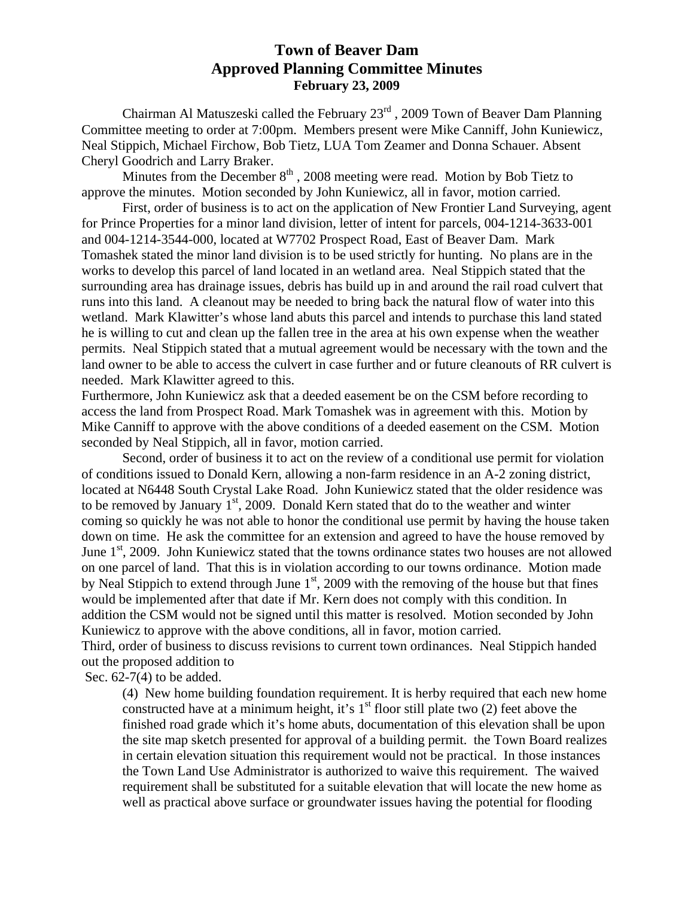# **Town of Beaver Dam Approved Planning Committee Minutes February 23, 2009**

 Chairman Al Matuszeski called the February 23rd , 2009 Town of Beaver Dam Planning Committee meeting to order at 7:00pm. Members present were Mike Canniff, John Kuniewicz, Neal Stippich, Michael Firchow, Bob Tietz, LUA Tom Zeamer and Donna Schauer. Absent Cheryl Goodrich and Larry Braker.

Minutes from the December  $8<sup>th</sup>$ , 2008 meeting were read. Motion by Bob Tietz to approve the minutes. Motion seconded by John Kuniewicz, all in favor, motion carried.

 First, order of business is to act on the application of New Frontier Land Surveying, agent for Prince Properties for a minor land division, letter of intent for parcels, 004-1214-3633-001 and 004-1214-3544-000, located at W7702 Prospect Road, East of Beaver Dam. Mark Tomashek stated the minor land division is to be used strictly for hunting. No plans are in the works to develop this parcel of land located in an wetland area. Neal Stippich stated that the surrounding area has drainage issues, debris has build up in and around the rail road culvert that runs into this land. A cleanout may be needed to bring back the natural flow of water into this wetland. Mark Klawitter's whose land abuts this parcel and intends to purchase this land stated he is willing to cut and clean up the fallen tree in the area at his own expense when the weather permits. Neal Stippich stated that a mutual agreement would be necessary with the town and the land owner to be able to access the culvert in case further and or future cleanouts of RR culvert is needed. Mark Klawitter agreed to this.

Furthermore, John Kuniewicz ask that a deeded easement be on the CSM before recording to access the land from Prospect Road. Mark Tomashek was in agreement with this. Motion by Mike Canniff to approve with the above conditions of a deeded easement on the CSM. Motion seconded by Neal Stippich, all in favor, motion carried.

 Second, order of business it to act on the review of a conditional use permit for violation of conditions issued to Donald Kern, allowing a non-farm residence in an A-2 zoning district, located at N6448 South Crystal Lake Road. John Kuniewicz stated that the older residence was to be removed by January  $1<sup>st</sup>$ , 2009. Donald Kern stated that do to the weather and winter coming so quickly he was not able to honor the conditional use permit by having the house taken down on time. He ask the committee for an extension and agreed to have the house removed by June  $1<sup>st</sup>$ , 2009. John Kuniewicz stated that the towns ordinance states two houses are not allowed on one parcel of land. That this is in violation according to our towns ordinance. Motion made by Neal Stippich to extend through June  $1<sup>st</sup>$ , 2009 with the removing of the house but that fines would be implemented after that date if Mr. Kern does not comply with this condition. In addition the CSM would not be signed until this matter is resolved. Motion seconded by John Kuniewicz to approve with the above conditions, all in favor, motion carried.

Third, order of business to discuss revisions to current town ordinances. Neal Stippich handed out the proposed addition to

Sec. 62-7(4) to be added.

(4) New home building foundation requirement. It is herby required that each new home constructed have at a minimum height, it's  $1<sup>st</sup>$  floor still plate two (2) feet above the finished road grade which it's home abuts, documentation of this elevation shall be upon the site map sketch presented for approval of a building permit. the Town Board realizes in certain elevation situation this requirement would not be practical. In those instances the Town Land Use Administrator is authorized to waive this requirement. The waived requirement shall be substituted for a suitable elevation that will locate the new home as well as practical above surface or groundwater issues having the potential for flooding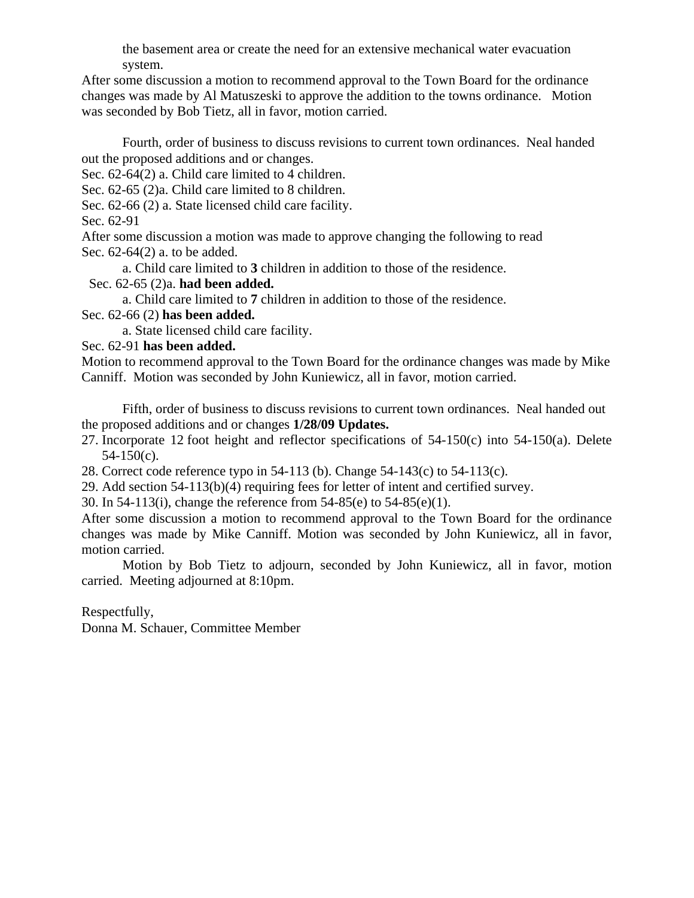the basement area or create the need for an extensive mechanical water evacuation system.

After some discussion a motion to recommend approval to the Town Board for the ordinance changes was made by Al Matuszeski to approve the addition to the towns ordinance. Motion was seconded by Bob Tietz, all in favor, motion carried.

 Fourth, order of business to discuss revisions to current town ordinances. Neal handed out the proposed additions and or changes.

Sec. 62-64(2) a. Child care limited to 4 children.

Sec. 62-65 (2)a. Child care limited to 8 children.

Sec. 62-66 (2) a. State licensed child care facility.

Sec. 62-91

After some discussion a motion was made to approve changing the following to read Sec. 62-64(2) a. to be added.

a. Child care limited to **3** children in addition to those of the residence.

Sec. 62-65 (2)a. **had been added.**

a. Child care limited to **7** children in addition to those of the residence.

Sec. 62-66 (2) **has been added.**

a. State licensed child care facility.

Sec. 62-91 **has been added.** 

Motion to recommend approval to the Town Board for the ordinance changes was made by Mike Canniff. Motion was seconded by John Kuniewicz, all in favor, motion carried.

 Fifth, order of business to discuss revisions to current town ordinances. Neal handed out the proposed additions and or changes **1/28/09 Updates.**

27. Incorporate 12 foot height and reflector specifications of 54-150(c) into 54-150(a). Delete 54-150(c).

28. Correct code reference typo in 54-113 (b). Change 54-143(c) to 54-113(c).

29. Add section 54-113(b)(4) requiring fees for letter of intent and certified survey.

30. In 54-113(i), change the reference from 54-85(e) to 54-85(e)(1).

After some discussion a motion to recommend approval to the Town Board for the ordinance changes was made by Mike Canniff. Motion was seconded by John Kuniewicz, all in favor, motion carried.

 Motion by Bob Tietz to adjourn, seconded by John Kuniewicz, all in favor, motion carried. Meeting adjourned at 8:10pm.

Respectfully,

Donna M. Schauer, Committee Member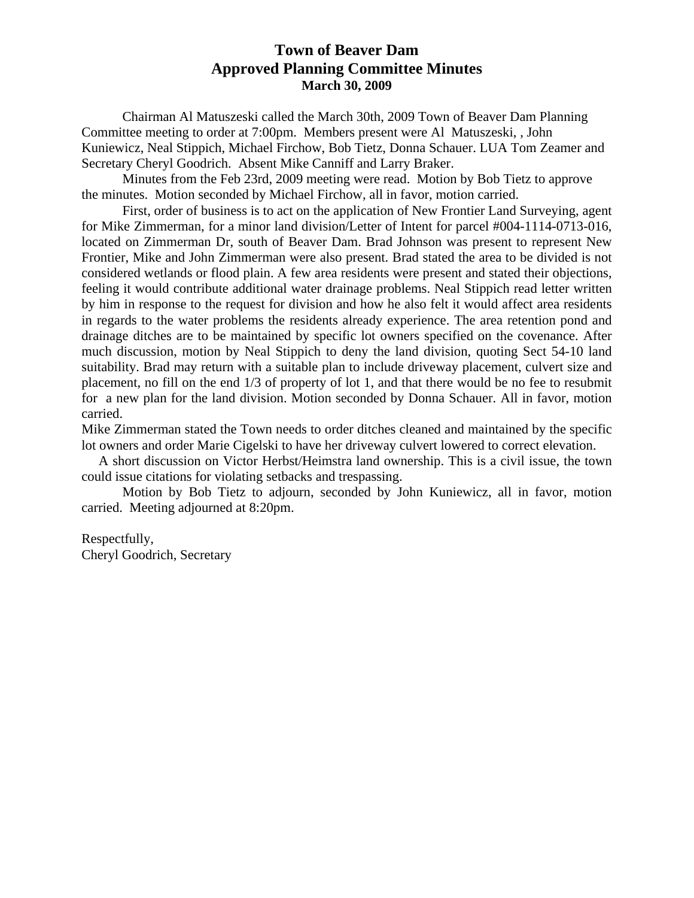# **Town of Beaver Dam Approved Planning Committee Minutes March 30, 2009**

 Chairman Al Matuszeski called the March 30th, 2009 Town of Beaver Dam Planning Committee meeting to order at 7:00pm. Members present were Al Matuszeski, , John Kuniewicz, Neal Stippich, Michael Firchow, Bob Tietz, Donna Schauer. LUA Tom Zeamer and Secretary Cheryl Goodrich. Absent Mike Canniff and Larry Braker.

 Minutes from the Feb 23rd, 2009 meeting were read. Motion by Bob Tietz to approve the minutes. Motion seconded by Michael Firchow, all in favor, motion carried.

 First, order of business is to act on the application of New Frontier Land Surveying, agent for Mike Zimmerman, for a minor land division/Letter of Intent for parcel #004-1114-0713-016, located on Zimmerman Dr, south of Beaver Dam. Brad Johnson was present to represent New Frontier, Mike and John Zimmerman were also present. Brad stated the area to be divided is not considered wetlands or flood plain. A few area residents were present and stated their objections, feeling it would contribute additional water drainage problems. Neal Stippich read letter written by him in response to the request for division and how he also felt it would affect area residents in regards to the water problems the residents already experience. The area retention pond and drainage ditches are to be maintained by specific lot owners specified on the covenance. After much discussion, motion by Neal Stippich to deny the land division, quoting Sect 54-10 land suitability. Brad may return with a suitable plan to include driveway placement, culvert size and placement, no fill on the end 1/3 of property of lot 1, and that there would be no fee to resubmit for a new plan for the land division. Motion seconded by Donna Schauer. All in favor, motion carried.

Mike Zimmerman stated the Town needs to order ditches cleaned and maintained by the specific lot owners and order Marie Cigelski to have her driveway culvert lowered to correct elevation.

 A short discussion on Victor Herbst/Heimstra land ownership. This is a civil issue, the town could issue citations for violating setbacks and trespassing.

 Motion by Bob Tietz to adjourn, seconded by John Kuniewicz, all in favor, motion carried. Meeting adjourned at 8:20pm.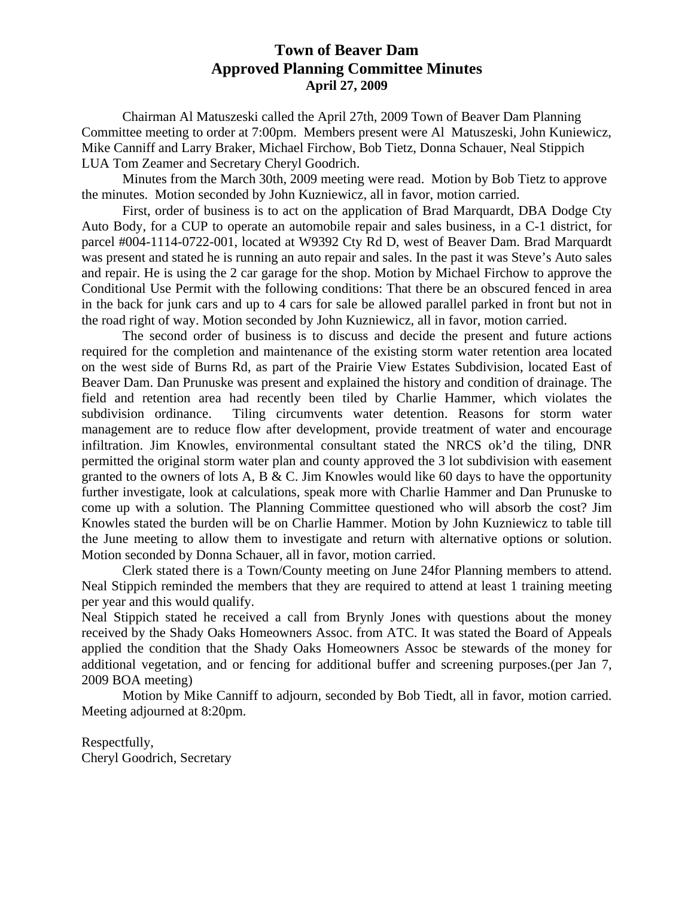# **Town of Beaver Dam Approved Planning Committee Minutes April 27, 2009**

 Chairman Al Matuszeski called the April 27th, 2009 Town of Beaver Dam Planning Committee meeting to order at 7:00pm. Members present were Al Matuszeski, John Kuniewicz, Mike Canniff and Larry Braker, Michael Firchow, Bob Tietz, Donna Schauer, Neal Stippich LUA Tom Zeamer and Secretary Cheryl Goodrich.

 Minutes from the March 30th, 2009 meeting were read. Motion by Bob Tietz to approve the minutes. Motion seconded by John Kuzniewicz, all in favor, motion carried.

 First, order of business is to act on the application of Brad Marquardt, DBA Dodge Cty Auto Body, for a CUP to operate an automobile repair and sales business, in a C-1 district, for parcel #004-1114-0722-001, located at W9392 Cty Rd D, west of Beaver Dam. Brad Marquardt was present and stated he is running an auto repair and sales. In the past it was Steve's Auto sales and repair. He is using the 2 car garage for the shop. Motion by Michael Firchow to approve the Conditional Use Permit with the following conditions: That there be an obscured fenced in area in the back for junk cars and up to 4 cars for sale be allowed parallel parked in front but not in the road right of way. Motion seconded by John Kuzniewicz, all in favor, motion carried.

 The second order of business is to discuss and decide the present and future actions required for the completion and maintenance of the existing storm water retention area located on the west side of Burns Rd, as part of the Prairie View Estates Subdivision, located East of Beaver Dam. Dan Prunuske was present and explained the history and condition of drainage. The field and retention area had recently been tiled by Charlie Hammer, which violates the subdivision ordinance. Tiling circumvents water detention. Reasons for storm water management are to reduce flow after development, provide treatment of water and encourage infiltration. Jim Knowles, environmental consultant stated the NRCS ok'd the tiling, DNR permitted the original storm water plan and county approved the 3 lot subdivision with easement granted to the owners of lots A, B & C. Jim Knowles would like 60 days to have the opportunity further investigate, look at calculations, speak more with Charlie Hammer and Dan Prunuske to come up with a solution. The Planning Committee questioned who will absorb the cost? Jim Knowles stated the burden will be on Charlie Hammer. Motion by John Kuzniewicz to table till the June meeting to allow them to investigate and return with alternative options or solution. Motion seconded by Donna Schauer, all in favor, motion carried.

 Clerk stated there is a Town/County meeting on June 24for Planning members to attend. Neal Stippich reminded the members that they are required to attend at least 1 training meeting per year and this would qualify.

Neal Stippich stated he received a call from Brynly Jones with questions about the money received by the Shady Oaks Homeowners Assoc. from ATC. It was stated the Board of Appeals applied the condition that the Shady Oaks Homeowners Assoc be stewards of the money for additional vegetation, and or fencing for additional buffer and screening purposes.(per Jan 7, 2009 BOA meeting)

 Motion by Mike Canniff to adjourn, seconded by Bob Tiedt, all in favor, motion carried. Meeting adjourned at 8:20pm.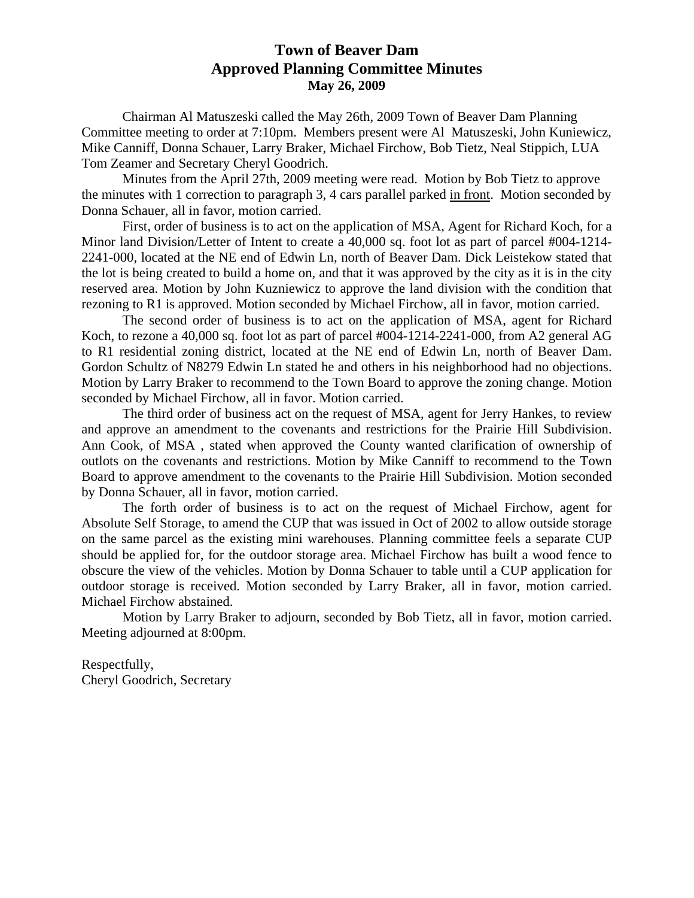# **Town of Beaver Dam Approved Planning Committee Minutes May 26, 2009**

 Chairman Al Matuszeski called the May 26th, 2009 Town of Beaver Dam Planning Committee meeting to order at 7:10pm. Members present were Al Matuszeski, John Kuniewicz, Mike Canniff, Donna Schauer, Larry Braker, Michael Firchow, Bob Tietz, Neal Stippich, LUA Tom Zeamer and Secretary Cheryl Goodrich.

 Minutes from the April 27th, 2009 meeting were read. Motion by Bob Tietz to approve the minutes with 1 correction to paragraph 3, 4 cars parallel parked in front. Motion seconded by Donna Schauer, all in favor, motion carried.

 First, order of business is to act on the application of MSA, Agent for Richard Koch, for a Minor land Division/Letter of Intent to create a 40,000 sq. foot lot as part of parcel #004-1214- 2241-000, located at the NE end of Edwin Ln, north of Beaver Dam. Dick Leistekow stated that the lot is being created to build a home on, and that it was approved by the city as it is in the city reserved area. Motion by John Kuzniewicz to approve the land division with the condition that rezoning to R1 is approved. Motion seconded by Michael Firchow, all in favor, motion carried.

 The second order of business is to act on the application of MSA, agent for Richard Koch, to rezone a 40,000 sq. foot lot as part of parcel #004-1214-2241-000, from A2 general AG to R1 residential zoning district, located at the NE end of Edwin Ln, north of Beaver Dam. Gordon Schultz of N8279 Edwin Ln stated he and others in his neighborhood had no objections. Motion by Larry Braker to recommend to the Town Board to approve the zoning change. Motion seconded by Michael Firchow, all in favor. Motion carried.

 The third order of business act on the request of MSA, agent for Jerry Hankes, to review and approve an amendment to the covenants and restrictions for the Prairie Hill Subdivision. Ann Cook, of MSA , stated when approved the County wanted clarification of ownership of outlots on the covenants and restrictions. Motion by Mike Canniff to recommend to the Town Board to approve amendment to the covenants to the Prairie Hill Subdivision. Motion seconded by Donna Schauer, all in favor, motion carried.

 The forth order of business is to act on the request of Michael Firchow, agent for Absolute Self Storage, to amend the CUP that was issued in Oct of 2002 to allow outside storage on the same parcel as the existing mini warehouses. Planning committee feels a separate CUP should be applied for, for the outdoor storage area. Michael Firchow has built a wood fence to obscure the view of the vehicles. Motion by Donna Schauer to table until a CUP application for outdoor storage is received. Motion seconded by Larry Braker, all in favor, motion carried. Michael Firchow abstained.

 Motion by Larry Braker to adjourn, seconded by Bob Tietz, all in favor, motion carried. Meeting adjourned at 8:00pm.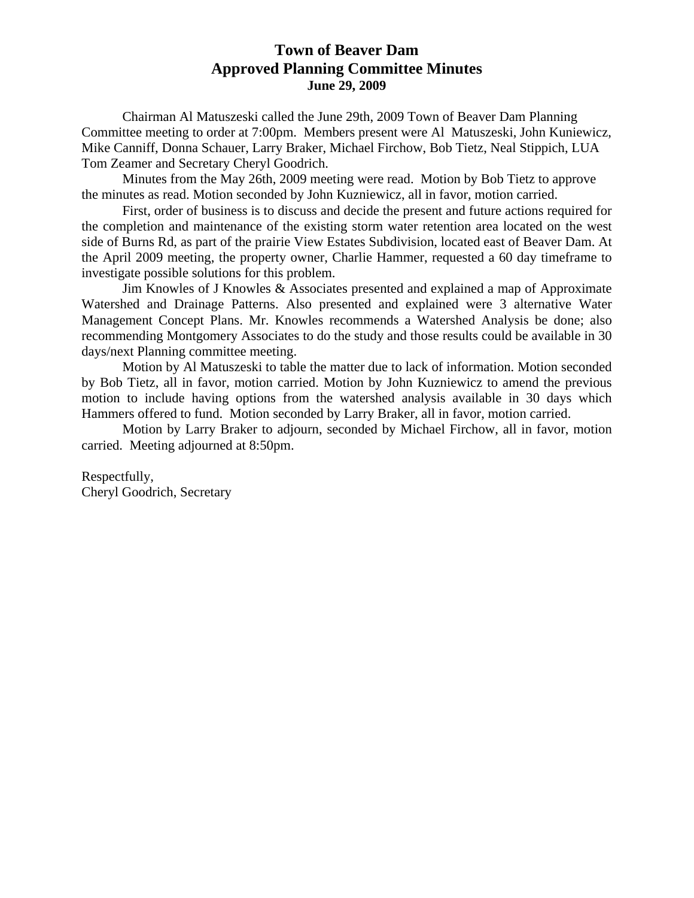# **Town of Beaver Dam Approved Planning Committee Minutes June 29, 2009**

 Chairman Al Matuszeski called the June 29th, 2009 Town of Beaver Dam Planning Committee meeting to order at 7:00pm. Members present were Al Matuszeski, John Kuniewicz, Mike Canniff, Donna Schauer, Larry Braker, Michael Firchow, Bob Tietz, Neal Stippich, LUA Tom Zeamer and Secretary Cheryl Goodrich.

 Minutes from the May 26th, 2009 meeting were read. Motion by Bob Tietz to approve the minutes as read. Motion seconded by John Kuzniewicz, all in favor, motion carried.

 First, order of business is to discuss and decide the present and future actions required for the completion and maintenance of the existing storm water retention area located on the west side of Burns Rd, as part of the prairie View Estates Subdivision, located east of Beaver Dam. At the April 2009 meeting, the property owner, Charlie Hammer, requested a 60 day timeframe to investigate possible solutions for this problem.

 Jim Knowles of J Knowles & Associates presented and explained a map of Approximate Watershed and Drainage Patterns. Also presented and explained were 3 alternative Water Management Concept Plans. Mr. Knowles recommends a Watershed Analysis be done; also recommending Montgomery Associates to do the study and those results could be available in 30 days/next Planning committee meeting.

 Motion by Al Matuszeski to table the matter due to lack of information. Motion seconded by Bob Tietz, all in favor, motion carried. Motion by John Kuzniewicz to amend the previous motion to include having options from the watershed analysis available in 30 days which Hammers offered to fund. Motion seconded by Larry Braker, all in favor, motion carried.

 Motion by Larry Braker to adjourn, seconded by Michael Firchow, all in favor, motion carried. Meeting adjourned at 8:50pm.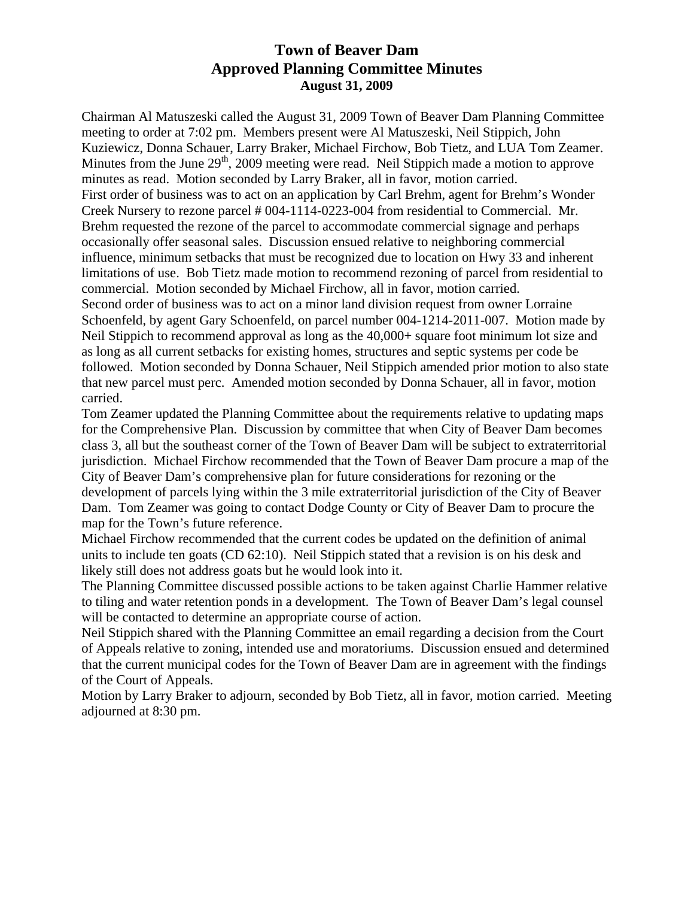# **Town of Beaver Dam Approved Planning Committee Minutes August 31, 2009**

Chairman Al Matuszeski called the August 31, 2009 Town of Beaver Dam Planning Committee meeting to order at 7:02 pm. Members present were Al Matuszeski, Neil Stippich, John Kuziewicz, Donna Schauer, Larry Braker, Michael Firchow, Bob Tietz, and LUA Tom Zeamer. Minutes from the June  $29<sup>th</sup>$ , 2009 meeting were read. Neil Stippich made a motion to approve minutes as read. Motion seconded by Larry Braker, all in favor, motion carried. First order of business was to act on an application by Carl Brehm, agent for Brehm's Wonder Creek Nursery to rezone parcel # 004-1114-0223-004 from residential to Commercial. Mr. Brehm requested the rezone of the parcel to accommodate commercial signage and perhaps occasionally offer seasonal sales. Discussion ensued relative to neighboring commercial influence, minimum setbacks that must be recognized due to location on Hwy 33 and inherent limitations of use. Bob Tietz made motion to recommend rezoning of parcel from residential to commercial. Motion seconded by Michael Firchow, all in favor, motion carried. Second order of business was to act on a minor land division request from owner Lorraine

Schoenfeld, by agent Gary Schoenfeld, on parcel number 004-1214-2011-007. Motion made by Neil Stippich to recommend approval as long as the 40,000+ square foot minimum lot size and as long as all current setbacks for existing homes, structures and septic systems per code be followed. Motion seconded by Donna Schauer, Neil Stippich amended prior motion to also state that new parcel must perc. Amended motion seconded by Donna Schauer, all in favor, motion carried.

Tom Zeamer updated the Planning Committee about the requirements relative to updating maps for the Comprehensive Plan. Discussion by committee that when City of Beaver Dam becomes class 3, all but the southeast corner of the Town of Beaver Dam will be subject to extraterritorial jurisdiction. Michael Firchow recommended that the Town of Beaver Dam procure a map of the City of Beaver Dam's comprehensive plan for future considerations for rezoning or the development of parcels lying within the 3 mile extraterritorial jurisdiction of the City of Beaver Dam. Tom Zeamer was going to contact Dodge County or City of Beaver Dam to procure the map for the Town's future reference.

Michael Firchow recommended that the current codes be updated on the definition of animal units to include ten goats (CD 62:10). Neil Stippich stated that a revision is on his desk and likely still does not address goats but he would look into it.

The Planning Committee discussed possible actions to be taken against Charlie Hammer relative to tiling and water retention ponds in a development. The Town of Beaver Dam's legal counsel will be contacted to determine an appropriate course of action.

Neil Stippich shared with the Planning Committee an email regarding a decision from the Court of Appeals relative to zoning, intended use and moratoriums. Discussion ensued and determined that the current municipal codes for the Town of Beaver Dam are in agreement with the findings of the Court of Appeals.

Motion by Larry Braker to adjourn, seconded by Bob Tietz, all in favor, motion carried. Meeting adjourned at 8:30 pm.